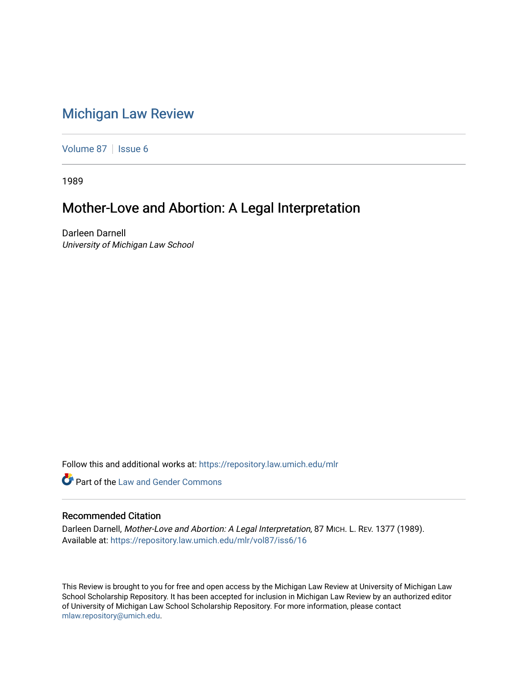# [Michigan Law Review](https://repository.law.umich.edu/mlr)

[Volume 87](https://repository.law.umich.edu/mlr/vol87) | [Issue 6](https://repository.law.umich.edu/mlr/vol87/iss6)

1989

## Mother-Love and Abortion: A Legal Interpretation

Darleen Darnell University of Michigan Law School

Follow this and additional works at: [https://repository.law.umich.edu/mlr](https://repository.law.umich.edu/mlr?utm_source=repository.law.umich.edu%2Fmlr%2Fvol87%2Fiss6%2F16&utm_medium=PDF&utm_campaign=PDFCoverPages) 

**C** Part of the Law and Gender Commons

## Recommended Citation

Darleen Darnell, Mother-Love and Abortion: A Legal Interpretation, 87 MICH. L. REV. 1377 (1989). Available at: [https://repository.law.umich.edu/mlr/vol87/iss6/16](https://repository.law.umich.edu/mlr/vol87/iss6/16?utm_source=repository.law.umich.edu%2Fmlr%2Fvol87%2Fiss6%2F16&utm_medium=PDF&utm_campaign=PDFCoverPages) 

This Review is brought to you for free and open access by the Michigan Law Review at University of Michigan Law School Scholarship Repository. It has been accepted for inclusion in Michigan Law Review by an authorized editor of University of Michigan Law School Scholarship Repository. For more information, please contact [mlaw.repository@umich.edu.](mailto:mlaw.repository@umich.edu)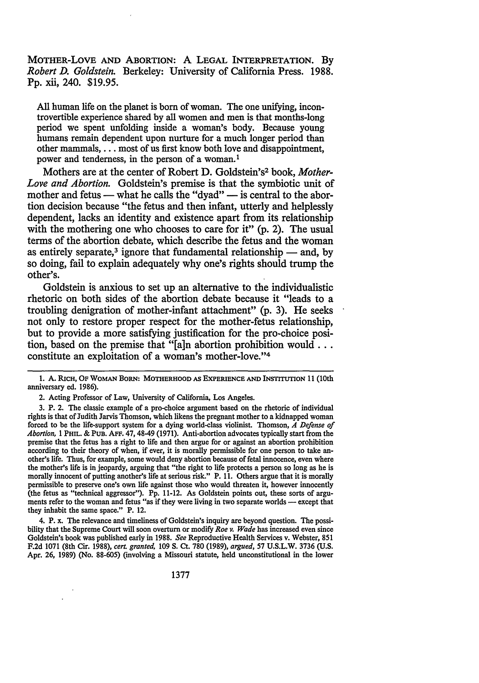MOTHER-LOVE AND ABORTION: A LEGAL INTERPRETATION. By *Robert D. Goldstein.* Berkeley: University of California Press. 1988. Pp. xii, 240. \$19.95.

All human life on the planet is born of woman. The one unifying, incontrovertible experience shared by all women and men is that months-long period we spent unfolding inside a woman's body. Because young humans remain dependent upon nurture for a much longer period than other mammals, ... most of us first know both love and disappointment, power and tenderness, in the person of a woman. <sup>1</sup>

Mothers are at the center of Robert D. Goldstein's2 book, *Mother-Love and Abortion.* Goldstein's premise is that the symbiotic unit of mother and fetus — what he calls the "dyad" — is central to the abortion decision because "the fetus and then infant, utterly and helplessly dependent, lacks an identity and existence apart from its relationship with the mothering one who chooses to care for it" (p. 2). The usual terms of the abortion debate, which describe the fetus and the woman as entirely separate,<sup>3</sup> ignore that fundamental relationship  $-$  and, by so doing, fail to explain adequately why one's rights should trump the other's.

Goldstein is anxious to set up an alternative to the individualistic rhetoric on both sides of the abortion debate because it "leads to a troubling denigration of mother-infant attachment" (p. 3). He seeks not only to restore proper respect for the mother-fetus relationship, but to provide a more satisfying justification for the pro-choice position, based on the premise that "[a]n abortion prohibition would ... constitute an exploitation of a woman's mother-love."4

2. Acting Professor of Law, University of California, Los Angeles.

3. P. 2. The classic example of a pro-choice argument based on the rhetoric of individual rights is that ofJudith Jarvis Thomson, which likens the pregnant mother to a kidnapped woman forced to be the life-support system for a dying world-class violinist. Thomson, *A Defense of Abortion,* 1 PHIL. & PUB. AFF. 47, 48-49 (1971). Anti-abortion advocates typically start from the premise that the fetus has a right to life and then argue for or against an abortion prohibition according to their theory of when, if ever, it is morally permissible for one person to take another's life. Thus, for example, some would deny abortion because of fetal innocence, even where the mother's life is in jeopardy, arguing that "the right to life protects a person so long as he is morally innocent of putting another's life at serious risk." P. 11. Others argue that it is morally permissible to preserve one's own life against those who would threaten it, however innocently (the fetus as "technical aggressor"). Pp. 11-12. As Goldstein points out, these sorts of arguments refer to the woman and fetus "as if they were living in two separate worlds — except that they inhabit the same space." P. 12.

4. P. x. The relevance and timeliness of Goldstein's inquiry are beyond question. The possibility that the Supreme Court will soon overturn or modify *Roe v. Wade* has increased even since Goldstein's book was published early in 1988. *See* Reproductive Health Services v. Webster, 851 F.2d 1071 (8th Cir. 1988), *cert granted,* 109 S. Ct. 780 (1989), *argued,* 57 U.S.L.W. 3736 (U.S. Apr. 26, 1989) (No. 88-605) (involving a Missouri statute, held unconstitutional in the lower

<sup>1.</sup> A. RICH, OF WOMAN BORN: MOTIIERHOOD AS EXPERIENCE AND INSTITUTION 11 (10th anniversary ed. 1986).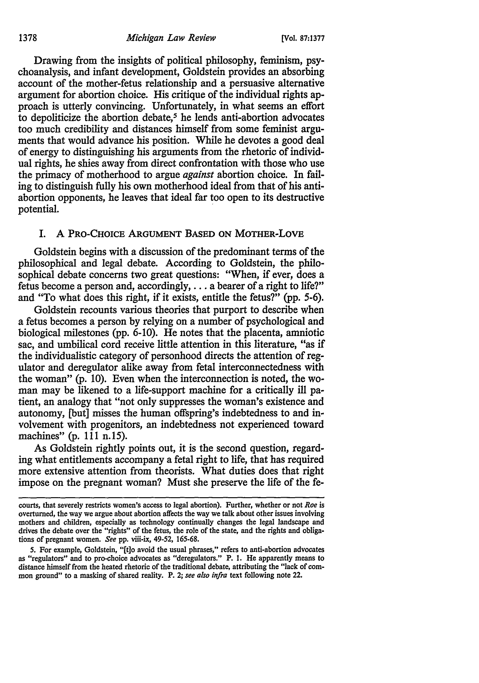Drawing from the insights of political philosophy, feminism, psychoanalysis, and infant development, Goldstein provides an absorbing account of the mother-fetus relationship and a persuasive alternative argument for abortion choice. His critique of the individual rights approach is utterly convincing. Unfortunately, in what seems an effort to depoliticize the abortion debate,<sup>5</sup> he lends anti-abortion advocates too much credibility and distances himself from some feminist arguments that would advance his position. While he devotes a good deal of energy to distinguishing his arguments from the rhetoric of individual rights, he shies away from direct confrontation with those who use the primacy of motherhood to argue *against* abortion choice. In failing to distinguish fully his own motherhood ideal from that of his antiabortion opponents, he leaves that ideal far too open to its destructive potential.

## I. A PRO-CHOICE ARGUMENT BASED ON MOTHER-LOVE

Goldstein begins with a discussion of the predominant terms of the philosophical and legal debate. According to Goldstein, the philosophical debate concerns two great questions: "When, if ever, does a fetus become a person and, accordingly, ... a bearer of a right to life?" and "To what does this right, if it exists, entitle the fetus?" (pp. 5-6).

Goldstein recounts various theories that purport to describe when a fetus becomes a person by relying on a number of psychological and biological milestones (pp. 6-10). He notes that the placenta, amniotic sac, and umbilical cord receive little attention in this literature, "as if the individualistic category of personhood directs the attention of regulator and deregulator alike away from fetal interconnectedness with the woman" (p. 10). Even when the interconnection is noted, the woman may be likened to a life-support machine for a critically ill patient, an analogy that "not only suppresses the woman's existence and autonomy, [but] misses the human offspring's indebtedness to and involvement with progenitors, an indebtedness not experienced toward machines" (p. 111 n.15).

As Goldstein rightly points out, it is the second question, regarding what entitlements accompany a fetal right to life, that has required more extensive attention from theorists. What duties does that right impose on the pregnant woman? Must she preserve the life of the fe-

courts, that severely restricts women's access to legal abortion). Further, whether or not *Roe* is overturned, the way we argue about abortion affects the way we talk about other issues involving mothers and children, especially as technology continually changes the legal landscape and drives the debate over the "rights" of the fetus, the role of the state, and the rights and obligations of pregnant women. *See* pp. viii-ix, 49-52, 165-68.

<sup>5.</sup> For example, Goldstein, "(t]o avoid the usual phrases," refers to anti-abortion advocates as "regulators" and to pro-choice advocates as "deregulators." P. I. He apparently means to distance himself from the heated rhetoric of the traditional debate, attributing the "lack of common ground" to a masking of shared reality. P. 2; *see also infra* text following note 22.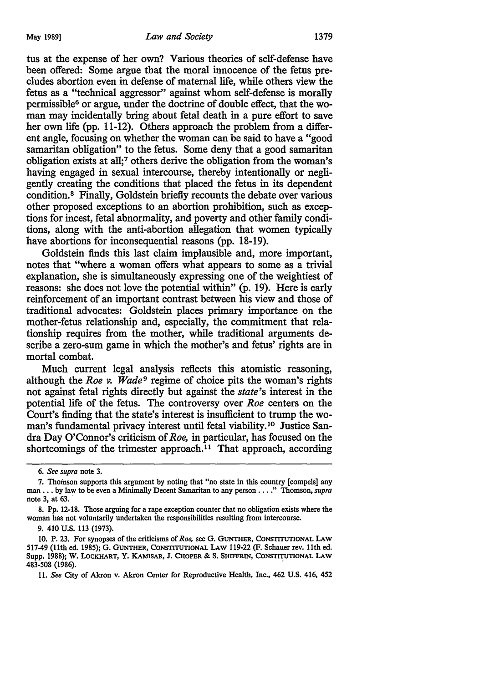tus at the expense of her own? Various theories of self-defense have been offered: Some argue that the moral innocence of the fetus precludes abortion even in defense of maternal life, while others view the fetus as a "technical aggressor" against whom self-defense is morally permissible6 or argue, under the doctrine of double effect, that the woman may incidentally bring about fetal death in a pure effort to save her own life (pp. 11-12). Others approach the problem from a different angle, focusing on whether the woman can be said to have a "good samaritan obligation" to the fetus. Some deny that a good samaritan obligation exists at all; 7 others derive the obligation from the woman's having engaged in sexual intercourse, thereby intentionally or negligently creating the conditions that placed the fetus in its dependent condition. 8 Finally, Goldstein briefly recounts the debate over various other proposed exceptions to an abortion prohibition, such as exceptions for incest, fetal abnormality, and poverty and other family conditions, along with the anti-abortion allegation that women typically have abortions for inconsequential reasons (pp. 18-19).

Goldstein finds this last claim implausible and, more important, notes that "where a woman offers what appears to some as a trivial explanation, she is simultaneously expressing one of the weightiest of reasons: she does not love the potential within" (p. 19). Here is early reinforcement of an important contrast between his view and those of traditional advocates: Goldstein places primary importance on the mother-fetus relationship and, especially, the commitment that relationship requires from the mother, while traditional arguments describe a zero-sum game in which the mother's and fetus' rights are in mortal combat.

Much current legal analysis reflects this atomistic reasoning, although the *Roe v. Wade*<sup>9</sup> regime of choice pits the woman's rights not against fetal rights directly but against the *state's* interest in the potential life of the fetus. The controversy over *Roe* centers on the Court's finding that the state's interest is insufficient to trump the woman's fundamental privacy interest until fetal viability.10 Justice Sandra Day O'Connor's criticism of *Roe,* in particular, has focused on the shortcomings of the trimester approach.<sup>11</sup> That approach, according

11. *See* City of Akron v. Akron Center for Reproductive Health, Inc., 462 U.S. 416, 452

<sup>6.</sup> *See supra* note 3.

<sup>7.</sup> Thomson supports this argument by noting that "no state in this country [compels] any man •.. by Jaw to be even a Minimally Decent Samaritan to any person •... " Thomson, *supra*  note 3, at 63.

<sup>8.</sup> Pp. 12-18. Those arguing for a rape exception counter that no obligation exists where the woman has not voluntarily undertaken the responsibilities resulting from intercourse.

<sup>9. 410</sup> U.S. 113 (1973).

<sup>10.</sup> P. 23. For synopses of the criticisms of *Roe,* see G. GUNTHER, CoNSTITUTIONAL LAW 517-49 (11th ed. 1985); G. GUNTHER, CoNSTITUTIONAL LAW 119-22 (F. Schauer rev. 11th ed. Supp. 1988); W. LoCKHART, Y. KAMISAR, J. CHOPER & S. SHIFFRIN, CoNSTITUTIONAL LAW 483-508 (1986). <sup>&</sup>gt;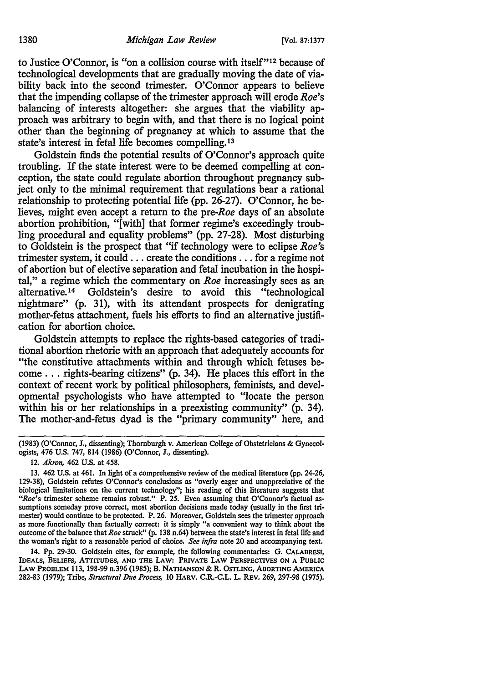to Justice O'Connor, is "on a collision course with itself"<sup>12</sup> because of technological developments that are gradually moving the date of viability back into the second trimester. O'Connor appears to believe that the impending collapse of the trimester approach will erode *Roe's*  balancing of interests altogether: she argues that the viability approach was arbitrary to begin with, and that there is no logical point other than the beginning of pregnancy at which to assume that the state's interest in fetal life becomes compelling. 13

Goldstein finds the potential results of O'Connor's approach quite troubling. If the state interest were to be deemed compelling at conception, the state could regulate abortion throughout pregnancy subject only to the minimal requirement that regulations bear a rational relationship to protecting potential life (pp. 26-27). O'Connor, he believes, might even accept a return to the *pre-Roe* days of an absolute abortion prohibition, "[with] that former regime's exceedingly troubling procedural and equality problems" (pp. 27-28). Most disturbing to Goldstein is the prospect that "if technology were to eclipse *Roe's*  trimester system, it could ... create the conditions ... for a regime not of abortion but of elective separation and fetal incubation in the hospital," a regime which the commentary on *Roe* increasingly sees as an alternative. 14 Goldstein's desire to avoid this "technological nightmare" (p. 31), with its attendant prospects for denigrating mother-fetus attachment, fuels his efforts to find an alternative justification for abortion choice.

Goldstein attempts to replace the rights-based categories of traditional abortion rhetoric with an approach that adequately accounts for "the constitutive attachments within and through which fetuses become ... rights-bearing citizens" (p. 34). He places this effort in the context of recent work by political philosophers, feminists, and developmental psychologists who have attempted to "locate the person within his or her relationships in a preexisting community" (p. 34). The mother-and-fetus dyad is the "primary community" here, and

12. *Akron,* 462 U.S. at 458.

13. 462 U.S. at 461. In light of a comprehensive review of the medical literature (pp. 24-26, 129-38), Goldstein refutes O'Connor's conclusions as "overly eager and unappreciative of the biological limitations on the current technology"; his reading of this literature suggests that *"Roe's* trimester scheme remains robust." P. 25. Even assuming that O'Connor's factual assumptions someday prove correct, most abortion decisions made today (usually in the first tri· mester) would continue to be protected. P. 26. Moreover, Goldstein sees the trimester approach as more functionally than factually correct: it is simply "a convenient way to think about the outcome of the balance that *Roe* struck" (p. 138 n.64) between the state's interest in fetal life and the woman's right to a reasonable period of choice. *See infra* note 20 and accompanying text.

14. Pp. 29-30. Goldstein cites, for example, the following commentaries: G. CALABRESI, IDEALS, BELIEFS, ATITTIJDES, AND THE LAW: PRIVATE LAW PERSPECTIVES ON A PUBLIC LAW PROBLEM 113, 198-99 n.396 (1985); B. NATHANSON & R. OSTLING, ABORTING AMERICA 282-83 (1979); Tribe, *Structural Due Process,* 10 HARV. C.R.-C.L. L. REV. 269, 297-98 (1975).

<sup>(1983) (</sup>O'Connor, J., dissenting); Thornburgh v. American College of Obstetricians & Gynecol· ogists, 476 U.S. 747, 814 (1986) (O'Connor, J., dissenting).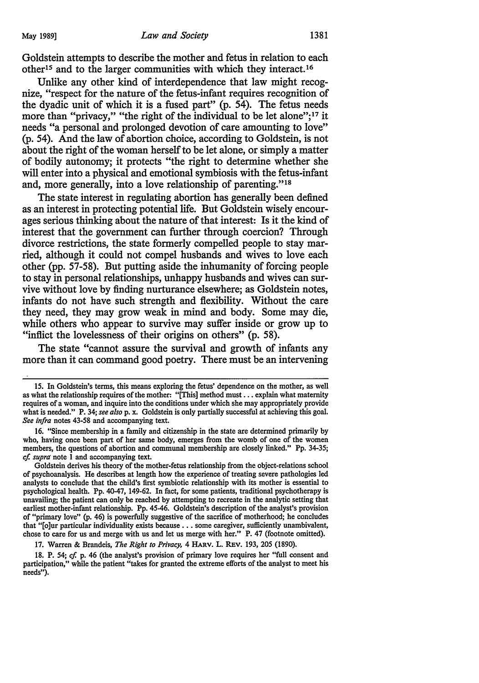Goldstein attempts to describe the mother and fetus in relation to each other15 and to the larger communities with which they interact.16

Unlike any other kind of interdependence that law might recognize, "respect for the nature of the fetus-infant requires recognition of the dyadic unit of which it is a fused part" (p. 54). The fetus needs more than "privacy," "the right of the individual to be let alone";<sup>17</sup> it needs "a personal and prolonged devotion of care amounting to love" (p. 54). And the law of abortion choice, according to Goldstein, is not about the right of the woman herself to be let alone, or simply a matter of bodily autonomy; it protects "the right to determine whether she will enter into a physical and emotional symbiosis with the fetus-infant and, more generally, into a love relationship of parenting."18

The state interest in regulating abortion has generally been defined as an interest in protecting potential life. But Goldstein wisely encourages serious thinking about the nature of that interest: Is it the kind of interest that the government can further through coercion? Through divorce restrictions, the state formerly compelled people to stay married, although it could not compel husbands and wives to love each other (pp. 57-58). But putting aside the inhumanity of forcing people to stay in personal relationships, unhappy husbands and wives can survive without love by finding nurturance elsewhere; as Goldstein notes, infants do not have such strength and flexibility. Without the care they need, they may grow weak in mind and body. Some may die, while others who appear to survive may suffer inside or grow up to "inflict the lovelessness of their origins on others" (p. 58).

The state "cannot assure the survival and growth of infants any more than it can command good poetry. There must be an intervening

17. Warren & Brandeis, *The Right to Privacy*, 4 HARV. L. REV. 193, 205 (1890).

18. P. 54; *cf.* p. 46 (the analyst's provision of primary love requires her "full consent and participation," while the patient "takes for granted the extreme efforts of the analyst to meet his needs").

<sup>15.</sup> In Goldstein's terms, this means exploring the fetus' dependence on the mother, as well as what the relationship requires of the mother: "[This] method must ... explain what maternity requires of a woman, and inquire into the conditions under which she may appropriately provide what is needed." P. 34; *see also* p. x. Goldstein is only partially successful at achieving this goal. *See infra* notes 43-58 and accompanying text.

<sup>16. &</sup>quot;Since membership in a family and citizenship in the state are determined primarily by who, having once been part of her same body, emerges from the womb of one of the women members, the questions of abortion and communal membership are closely linked." Pp. 34-35; *cf. supra* note 1 and accompanying text.

Goldstein derives his theory of the mother-fetus relationship from the object-relations school of psychoanalysis. He describes at length how the experience of treating severe pathologies led analysts to conclude that the child's first symbiotic relationship with its mother is essential to psychological health. Pp. 40-47, 149-62. In fact, for some patients, traditional psychotherapy is unavailing; the patient can only be reached by attempting to recreate in the analytic setting that earliest mother-infant relationship. Pp. 45-46. Goldstein's description of the analyst's provision of "primary love" (p. 46) is powerfully suggestive of the sacrifice of motherhood; he concludes that "[o]ur particular individuality exists because ..• some caregiver, sufficiently unambivalent, chose to care for us and merge with us and let us merge with her." P. 47 (footnote omitted).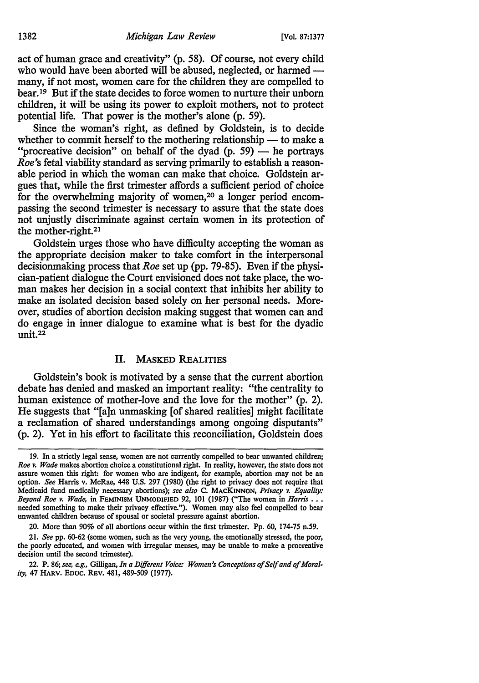act of human grace and creativity" (p. 58). Of course, not every child who would have been aborted will be abused, neglected, or harmed many, if not most, women care for the children they are compelled to bear. 19 But if the state decides to force women to nurture their unborn children, it will be using its power to exploit mothers, not to protect potential life. That power is the mother's alone (p. 59).

Since the woman's right, as defined by Goldstein, is to decide whether to commit herself to the mothering relationship  $-$  to make a "procreative decision" on behalf of the dyad (p. 59)  $-$  he portrays *Roe's* fetal viability standard as serving primarily to establish a reasonable period in which the woman can make that choice. Goldstein argues that, while the first trimester affords a sufficient period of choice for the overwhelming majority of women,<sup>20</sup> a longer period encompassing the second trimester is necessary to assure that the state does not unjustly discriminate against certain women in its protection of the mother-right.21

Goldstein urges those who have difficulty accepting the woman as the appropriate decision maker to take comfort in the interpersonal decisionmaking process that *Roe* set up (pp. 79-85). Even if the physician-patient dialogue the Court envisioned does not take place, the woman makes her decision in a social context that inhibits her ability to make an isolated decision based solely on her personal needs. Moreover, studies of abortion decision making suggest that women can and do engage in inner dialogue to examine what is best for the dyadic unit.22

### II. MASKED REALITIES

Goldstein's book is motivated by a sense that the current abortion debate has denied and masked an important reality: "the centrality to human existence of mother-love and the love for the mother" (p. 2). He suggests that "[a]n unmasking [of shared realities] might facilitate a reclamation of shared understandings among ongoing disputants" (p. 2). Yet in his effort to facilitate this reconciliation, Goldstein does

<sup>19.</sup> In a strictly legal sense, women are not currently compelled to bear unwanted children; *Roe v. Wade* makes abortion choice a constitutional right. In reality, however, the state does not assure women this right: for women who are indigent, for example, abortion may not be an option. *See* Harris v. McRae, 448 U.S. 297 (1980) (the right to privacy does not require that Medicaid fund medically necessary abortions); *see also* C. MACKINNON, *Privacy v. Equality: Beyond Roe v. Wade,* in FEMINISM UNMODIFIED 92, IOI (1987) ("The women in *Harris .* .• needed something to make their privacy effective."). Women may also feel compelled to bear unwanted children because of spousal or societal pressure against abortion.

<sup>20.</sup> More than 90% of all abortions occur within the first trimester. Pp. 60, 174-75 n.59.

<sup>21.</sup> *See* pp. 60-62 (some women, such as the very young, the emotionally stressed, the poor, the poorly educated, and women with irregular menses, may be unable to make a procreative decision until the second trimester).

<sup>22.</sup> P. 86; *see, e.g.,* Gilligan, *In a Different Voice: Women's Conceptions of Self and of Morality,* 47 HARV. Eouc. REv. 481, 489-509 (1977).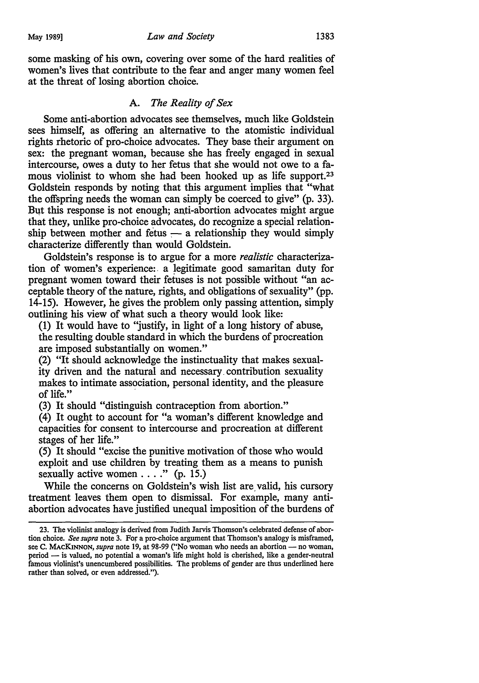some masking of his own, covering over some of the hard realities of women's lives that contribute to the fear and anger many women feel at the threat of losing abortion choice.

### A. *The Reality of Sex*

Some anti-abortion advocates see themselves, much like Goldstein sees himself, as offering an alternative to the atomistic individual rights rhetoric of pro-choice advocates. They base their argument on sex: the pregnant woman, because she has freely engaged in sexual intercourse, owes a duty to her fetus that she would not owe to a famous violinist to whom she had been hooked up as life support.<sup>23</sup> Goldstein responds by noting that this argument implies that "what the offspring needs the woman can simply be coerced to give" (p. 33). But this response is not enough; anti-abortion advocates might argue that they, unlike pro-choice advocates, do recognize a special relationship between mother and fetus  $-$  a relationship they would simply characterize differently than would Goldstein.

Goldstein's response is to argue for a more *realistic* characterization of women's experience: a legitimate good samaritan duty for pregnant women toward their fetuses is not possible without "an acceptable theory of the nature, rights, and obligations of sexuality" (pp. 14-15). However, he gives the problem only passing attention, simply outlining his view of what such a theory would look like:

(1) It would have to "justify, in light of a long history of abuse, the resulting double standard in which the burdens of procreation are imposed substantially on women."

(2) "It should acknowledge the instinctuality that makes sexuality driven and the natural and necessary, contribution sexuality makes to intimate association, personal identity, and the pleasure of life."

(3) It should "distinguish contraception from abortion."

(4) It ought to account for "a woman's different knowledge and capacities for consent to intercourse and procreation at different stages of her life."

(5) It should "excise the punitive motivation of those who would exploit and use children by treating them as a means to punish sexually active women  $\dots$ ." (p. 15.)

While the concerns on Goldstein's wish list are valid, his cursory treatment leaves them open to dismissal. For example, many antiabortion advocates have justified unequal imposition of the burdens of

<sup>23.</sup> The violinist analogy is derived from Judith Jarvis Thomson's celebrated defense of abortion choice. *See supra* note 3. For a pro-choice argument that Thomson's analogy is misframed, see C. MACKINNON, *supra* note 19, at 98-99 ("No woman who needs an abortion - no woman, period - is valued, no potential a woman's life might hold is cherished, like a gender-neutral famous violinist's unencumbered possibilities. The problems of gender are thus underlined here rather than solved, or even addressed.").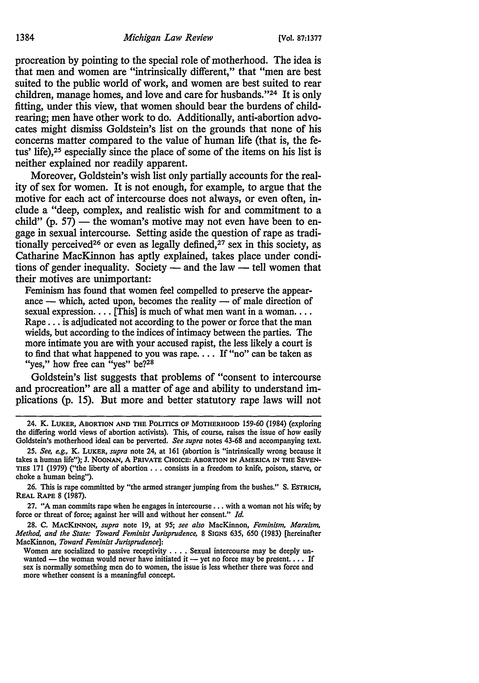procreation by pointing to the special role of motherhood. The idea is that men and women are "intrinsically different," that "men are best suited to the public world of work, and women are best suited to rear children, manage homes, and love and care for husbands. "24 It is only fitting, under this view, that women should bear the burdens of childrearing; men have other work to do. Additionally, anti-abortion advocates might dismiss Goldstein's list on the grounds that none of his concerns matter compared to the value of human life (that is, the fetus' life),<sup>25</sup> especially since the place of some of the items on his list is neither explained nor readily apparent.

Moreover, Goldstein's wish list only partially accounts for the reality of sex for women. It is not enough, for example, to argue that the motive for each act of intercourse does not always, or even often, include a "deep, complex, and realistic wish for and commitment to a child" (p. 57) — the woman's motive may not even have been to engage in sexual intercourse. Setting aside the question of rape as traditionally perceived<sup>26</sup> or even as legally defined,<sup>27</sup> sex in this society, as Catharine MacKinnon has aptly explained, takes place under conditions of gender inequality. Society  $-$  and the law  $-$  tell women that their motives are unimportant:

Feminism has found that women feel compelled to preserve the appearance  $-$  which, acted upon, becomes the reality  $-$  of male direction of sexual expression.... [This] is much of what men want in a woman... Rape ... is adjudicated not according to the power or force that the man wields, but according to the indices of intimacy between the parties. The more intimate you are with your accused rapist, the less likely a court is to find that what happened to you was rape. . . . If "no" can be taken as "yes," how free can "yes" be?<sup>28</sup>

Goldstein's list suggests that problems of "consent to intercourse and procreation" are all a matter of age and ability to understand implications (p. 15). But more and better statutory rape laws will not

<sup>24.</sup> K. LUKER, ABORTION AND THE POLITICS OF MOTHERHOOD 159-60 (1984) (exploring *the* differing world views of abortion activists). This, of course, raises the *issue* of how easily Goldstein's motherhood ideal can be perverted. *See supra* notes 43·68 and accompanying text.

<sup>25.</sup> *See, e.g.,* K. LUKER, *supra* note 24, at 161 (abortion is "intrinsically wrong because it takes a human life"); J. NOONAN, A PRIVATE CHOICE: ABORTION IN AMERICA IN THE SEVEN· TIES 171 (1979) ("the liberty of abortion ... consists in a freedom to knife, poison, starve, or choke a human being").

<sup>26.</sup> This is rape committed by "the armed stranger jumping from the bushes." S. EsTR1cH, REAL RAPE 8 (1987).

<sup>27. &</sup>quot;A man commits rape when he engages in intercourse ..• with a woman not his wife; by force or threat of force; against her will and without her consent." *Id.* 

<sup>28.</sup> C. MACKINNON, *supra* note 19, at 95; *see also* MacKinnon, *Feminism, Marxism, Method, and the State: Toward Feminist Jurisprudence,* 8 SIGNS 635, 650 (1983) [hereinafter MacKinnon, *Toward Feminist Jurisprudence]:* 

Women are socialized to passive receptivity . . . . Sexual intercourse may be deeply unwanted - the woman would never have initiated it --• yet no force may be present.  $\ldots$  If sex is normally something men do to women, the issue is less whether there was force and more whether consent is a meaningful concept.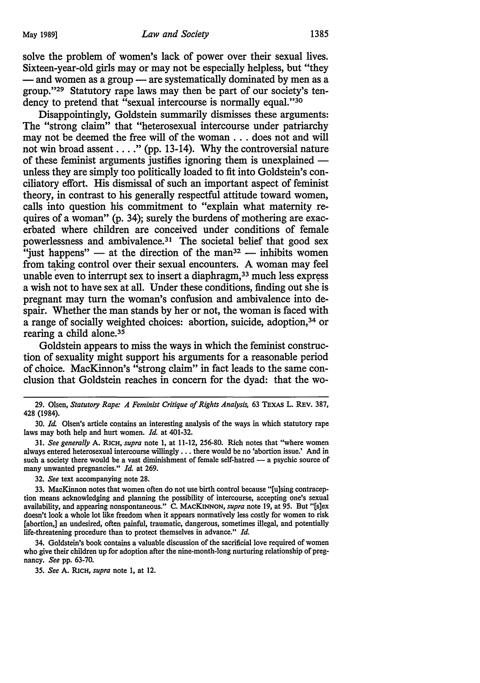solve the problem of women's lack of power over their sexual lives. Sixteen-year-old girls may or may not be especially helpless, but "they  $-$  and women as a group  $-$  are systematically dominated by men as a group."29 Statutory rape laws may then be part of our society's tendency to pretend that "sexual intercourse is normally equal."<sup>30</sup>

Disappointingly, Goldstein summarily dismisses these arguments: The "strong claim" that "heterosexual intercourse under patriarchy may not be deemed the free will of the woman ... does not and will not win broad assent  $\dots$ ." (pp. 13-14). Why the controversial nature of these feminist arguments justifies ignoring them is unexplained  $$ unless they are simply too politically loaded to fit into Goldstein's conciliatory effort. His dismissal of such an important aspect of feminist theory, in contrast to his generally respectful attitude toward women, calls into question his commitment to "explain what maternity requires of a woman" (p. 34); surely the burdens of mothering are exacerbated where children are conceived under conditions of female powerlessness and ambivalence.<sup>31</sup> The societal belief that good sex "just happens"  $-$  at the direction of the man<sup>32</sup>  $-$  inhibits women from taking control over their sexual encounters. A woman may feel unable even to interrupt sex to insert a diaphragm, $33$  much less express a wish not to have sex at all. Under these conditions, finding out she is pregnant may tum the woman's confusion and ambivalence into despair. Whether the man stands by her or not, the woman is faced with a range of socially weighted choices: abortion, suicide, adoption, 34 or rearing a child alone.<sup>35</sup>

Goldstein appears to miss the ways in which the feminist construction of sexuality might support his arguments for a reasonable period of choice. MacKinnon's "strong claim" in fact leads to the same conclusion that Goldstein reaches in concern for the dyad: that the wo-

31. *See generally* A. RICH, *supra* note 1, at 11-12, 256-80. Rich notes that "where women always entered heterosexual intercourse willingly ... there would be no 'abortion issue.' And in such a society there would be a vast diminishment of female self-hatred  $-$  a psychic source of many unwanted pregnancies." *Id.* at 269.

32. *See* text accompanying note 28.

33. MacKinnon notes that women often do not use birth control because "[u]sing contraception means acknowledging and planning the possibility of intercourse, accepting one's sexual availability, and appearing nonspontaneous." C. MACKINNON, *supra* note 19, at 95. But "[s]ex doesn't look a whole lot like freedom when it appears normatively less costly for women to risk [abortion,] an undesired, often painful, traumatic, dangerous, sometimes illegal, and potentially life-threatening procedure than to protect themselves in advance." *Id.* 

34. Goldstein's book contains a valuable discussion of the sacrificial love required of women who give their children up for adoption after the nine-month-long nurturing relationship of pregnancy. *See* pp. 63-70.

35. *See* A. RICH, *supra* note l, at 12.

<sup>29.</sup> Olsen, *Statutory Rape: A Feminist Critique of Rights Analysis,* 63 TEXAS L. REv. 387, 428 (1984).

<sup>30.</sup> *Id.* Olsen's article contains an interesting analysis of the ways in which statutory rape laws may both help and hurt women. *Id.* at 401-32.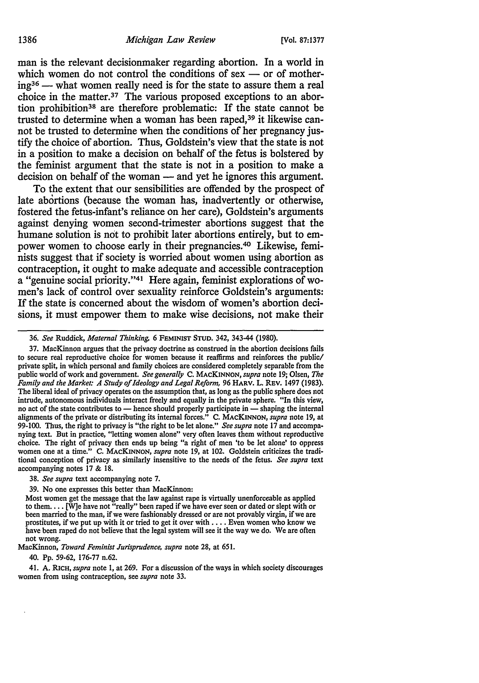man is the relevant decisionmaker regarding abortion. In a world in which women do not control the conditions of sex  $-$  or of mother $ing^{36}$  — what women really need is for the state to assure them a real choice in the matter.<sup>37</sup> The various proposed exceptions to an abortion prohibition38 are therefore problematic: If the state cannot be trusted to determine when a woman has been raped,<sup>39</sup> it likewise cannot be trusted to determine when the conditions of her pregnancy justify the choice of abortion. Thus, Goldstein's view that the state is not in a position to make a decision on behalf of the fetus is bolstered by the feminist argument that the state is not in a position to make a decision on behalf of the woman — and yet he ignores this argument.

To the extent that our sensibilities are offended by the prospect of late abortions (because the woman has, inadvertently or otherwise, fostered the fetus-infant's reliance on her care), Goldstein's arguments against denying women second-trimester abortions suggest that the humane solution is not to prohibit later abortions entirely, but to empower women to choose early in their pregnancies.40 Likewise, feminists suggest that if society is worried about women using abortion as contraception, it ought to make adequate and accessible contraception a "genuine social priority."41 Here again, feminist explorations of women's lack of control over sexuality reinforce Goldstein's arguments: If the state is concerned about the wisdom of women's abortion decisions, it must empower them to make wise decisions, not make their

38. *See supra* text accompanying note 7.

39. No one expresses this better than MacKinnon:

Most women get the message that the law against rape is virtually unenforceable as applied to them .... [W]e have not "really" been raped if we have ever seen or dated or slept with or been married to the man, if we were fashionably dressed or are not provably virgin, if we are prostitutes, if we put up with it or tried to get it over with ..•. Even women who know we have been raped do not believe that the legal system will see it the way we do. We are often not wrong.

MacKinnon, *Toward Feminist Jurisprudence, supra* note 28, at 651.

40. Pp. 59-62, 176-77 n.62.

41. A. RICH, *supra* note 1, at 269. For a discussion of the ways in which society discourages women from using contraception, see *supra* note 33.

<sup>36.</sup> *See* Ruddick, *Maternal Thinking,* 6 FEMINIST STUD. 342, 343-44 (1980).

<sup>37.</sup> MacKinnon argues that the privacy 'doctrine as construed in the abortion decisions fails to secure real reproductive choice for women because it reaffirms and reinforces the public/ private split, in which personal and family choices are considered completely separable from the public world of work and government. *See generally* C. MACKINNON, *supra* note 19; Olsen, *The Family and the Market: A Study of Ideology and Legal Reform,* 96 HARV. L. REV. 1497 (1983). The liberal ideal of privacy operates on the assumption that, as long as the public sphere does not intrude, autonomous individuals interact freely and equally in the private sphere. "In this view, no act of the state contributes to - hence should properly participate in - shaping the internal alignments of the private or distributing its internal forces." C. MACKINNON, *supra* note 19, at 99-100. Thus, the right to privacy is "the right to be let alone." *See supra* note 17 and accompanying text. But in practice, "letting women alone" very often leaves them without reproductive choice. The right of privacy then ends up being "a right of men 'to be let alone' to oppress women one at a time." C. MACKINNON, *supra* note 19, at 102. Goldstein criticizes the traditional conception of privacy as similarly insensitive to the needs of the fetus. *See supra* text accompanying notes 17 & 18.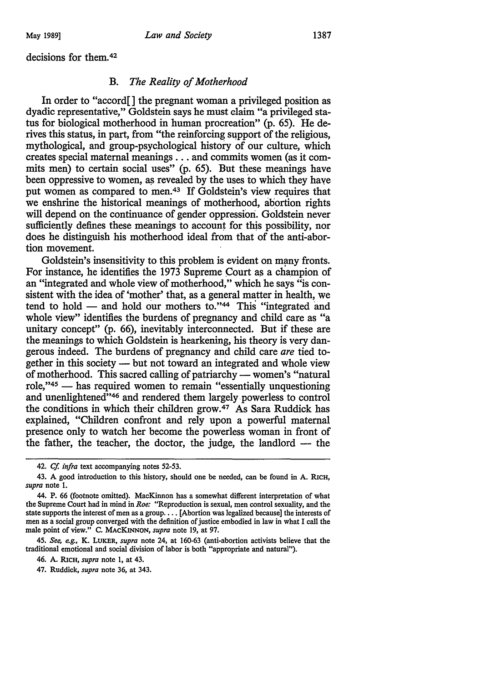decisions for them. 42

### B. *The Reality of Motherhood*

In order to "accord[] the pregnant woman a privileged position as dyadic representative," Goldstein says he must claim "a privileged status for biological motherhood in human procreation" (p. 65). He derives this status, in part, from "the reinforcing support of the religious, mythological, and group-psychological history of our culture, which creates special maternal meanings ... and commits women (as it commits men) to certain social uses" (p. 65). But these meanings have been oppressive to women, as revealed by the uses to which they have put women as compared to men.43 If Goldstein's view requires that we enshrine the historical meanings of motherhood, ahortion rights will depend on the continuance of gender oppression. Goldstein never sufficiently defines these meanings to account for this possibility, nor does he distinguish his motherhood ideal from that of the anti-abortion movement.

Goldstein's insensitivity to this problem is evident on many fronts. For instance, he identifies the 1973 Supreme Court as a champion of an "integrated and whole view of motherhood," which he says "is consistent with the idea of 'mother' that, as a general matter in health, we tend to hold  $-$  and hold our mothers to."<sup>44</sup> This "integrated and whole view" identifies the burdens of pregnancy and child care as "a unitary concept" (p. 66), inevitably interconnected. But if these are the meanings to which Goldstein is hearkening, his theory is very dangerous indeed. The burdens of pregnancy and child care *are* tied together in this society - but not toward an integrated and whole view of motherhood. This sacred calling of patriarchy — women's "natural" role, $"^{45}$  — has required women to remain "essentially unquestioning and unenlightened"<sup>46</sup> and rendered them largely powerless to control the conditions in which their children grow.47 As Sara Ruddick has explained, "Children confront and rely upon a powerful maternal presence only to watch her become the powerless woman in front of the father, the teacher, the doctor, the judge, the landlord  $-$  the

46. A. RICH, *supra* note 1, at 43.

47. Ruddick, *supra* note 36, at 343.

<sup>42.</sup> *Cf. infra* text accompanying notes 52-53.

<sup>43.</sup> A good introduction to this history, should one be needed, can be found in A. RICH, *supra* note 1.

<sup>44.</sup> P. 66 (footnote omitted). MacK.innon has a somewhat different interpretation of what the Supreme Court had in mind in *Roe:* "Reproduction is sexual, men control sexuality, and the state supports the interest of men as a group .... [Abortion was legalized because] the interests of men as a social group converged with the definition of justice embodied in law in what I call the male point of view." C. MACKINNON, *supra* note 19, at 97.

<sup>45.</sup> *See, e.g.,* K. LUKER, *supra* note 24, at 160-63 (anti-abortion activists believe that the traditional emotional and social division of labor is both "appropriate and natural").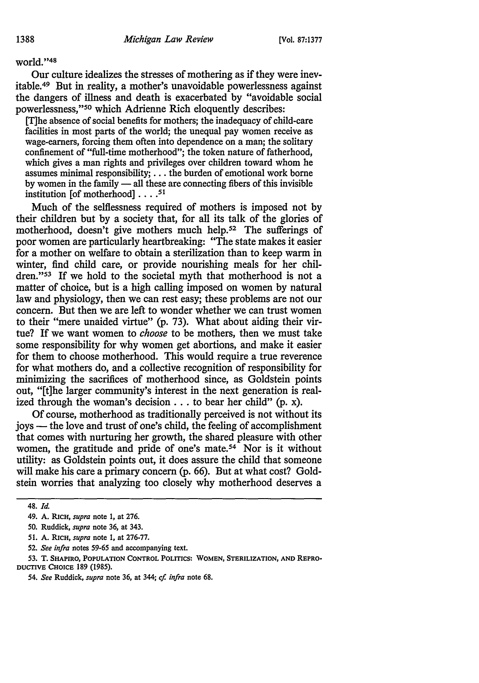world."48

Our culture idealizes the stresses of mothering as if they were inevitable. 49 But in reality, a mother's unavoidable powerlessness against the dangers of illness and death is exacerbated by "avoidable social powerlessness,"50 which Adrienne Rich eloquently describes:

[T]he absence of social benefits for mothers; the inadequacy of child-care facilities in most parts of the world; the unequal pay women receive as wage-earners, forcing them often into dependence on a man; the solitary confinement of "full-time motherhood"; the token nature of fatherhood, which gives a man rights and privileges over children toward whom he assumes minimal responsibility; ... the burden of emotional work borne by women in the family  $-$  all these are connecting fibers of this invisible institution [of motherhood] .... 51

Much of the selflessness required of mothers is imposed not by their children but by a society that, for all its talk of the glories of motherhood, doesn't give mothers much help.<sup>52</sup> The sufferings of poor women are particularly heartbreaking: "The state makes it easier for a mother on welfare to obtain a sterilization than to keep warm in winter, find child care, or provide nourishing meals for her children."<sup>53</sup> If we hold to the societal myth that motherhood is not a matter of choice, but is a high calling imposed on women by natural law and physiology, then we can rest easy; these problems are not our concern. But then we are left to wonder whether we can trust women to their "mere unaided virtue" (p. 73). What about aiding their virtue? If we want women to *choose* to be mothers, then we must take some responsibility for why women get abortions, and make it easier for them to choose motherhood. This would require a true reverence for what mothers do, and a collective recognition of responsibility for minimizing the sacrifices of motherhood since, as Goldstein points out, "[t]he larger community's interest in the next generation is realized through the woman's decision  $\ldots$  to bear her child" (p. x).

Of course, motherhood as traditionally perceived is not without its joys — the love and trust of one's child, the feeling of accomplishment that comes with nurturing her growth, the shared pleasure with other women, the gratitude and pride of one's mate.54 Nor is it without utility: as Goldstein points out, it does assure the child that someone will make his care a primary concern (p. 66). But at what cost? Goldstein worries that analyzing too closely why motherhood deserves a

52. *See infra* notes 59-65 and accompanying text.

<sup>48.</sup> *Id.* 

<sup>49.</sup> A. RICH, *supra* note 1, at 276.

<sup>50.</sup> Ruddick, *supra* note 36, at 343.

<sup>51.</sup> A. RICH, *supra* note l, at 276-77.

<sup>53.</sup> T. SHAPIRO, POPULATION CONTROL POLITICS: WOMEN, STERILIZATION, AND REPRO-DUCTIVE CHOICE 189 (1985).

<sup>54.</sup> *See* Ruddick, *supra* note 36, at 344; *cf. infra* note 68.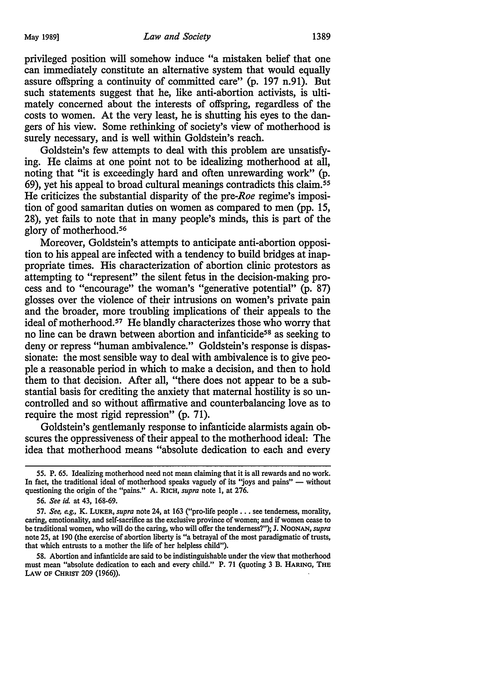privileged position will somehow induce "a mistaken belief that one can immediately constitute an alternative system that would equally assure offspring a continuity of committed care" (p. 197 n.91). But such statements suggest that he, like anti-abortion activists, is ultimately concerned about the interests of offspring, regardless of the costs to women. At the very least, he is shutting his eyes to the dangers of his view. Some rethinking of society's view of motherhood is surely necessary, and is well within Goldstein's reach.

Goldstein's few attempts to deal with this problem are unsatisfying. He claims at one point not to be idealizing motherhood at all, noting that "it is exceedingly hard and often unrewarding work" (p. 69), yet his appeal to broad cultural meanings contradicts this claim. 55 He criticizes the substantial disparity of the pre-Roe regime's imposition of good samaritan duties on women as compared to men (pp. 15, 28), yet fails to note that in many people's minds, this is part of the glory of motherhood. 56

Moreover, Goldstein's attempts to anticipate anti-abortion opposition to his appeal are infected with a tendency to build bridges at inappropriate times. His characterization of abortion clinic protestors as attempting to "represent" the silent fetus in the decision-making process and to "encourage" the woman's "generative potential" (p. 87) glosses over the violence of their intrusions on women's private pain and the broader, more troubling implications of their appeals to the ideal of motherhood. 57 He blandly characterizes those who worry that no line can be drawn between abortion and infanticide<sup>58</sup> as seeking to deny or repress "human ambivalence." Goldstein's response is dispassionate: the most sensible way to deal with ambivalence is to give people a reasonable period in which to make a decision, and then to hold them to that decision. After all, "there does not appear to be a substantial basis for crediting the anxiety that maternal hostility is so uncontrolled and so without affirmative and counterbalancing love as to require the most rigid repression" (p. 71).

Goldstein's gentlemanly response to infanticide alarmists again obscures the oppressiveness of their appeal to the motherhood ideal: The idea that motherhood means "absolute dedication to each and every

58. Abortion and infanticide are said to be indistinguishable under the view that motherhood must mean "absolute dedication to each and every child." P. 71 (quoting 3 B. HARING, THE LAW OF CHRIST 209 (1966)).

*<sup>55.</sup>* P. 65. Idealizing motherhood need not mean claiming that it is all rewards and no work. In fact, the traditional ideal of motherhood speaks vaguely of its "joys and pains" — without questioning the origin of the "pains." A. RICH, *supra* note 1, at 276.

<sup>56.</sup> *See id.* at 43, 168-69.

<sup>57.</sup> *See, e.g.,* K. LUKER, *supra* note 24, at 163 ("pro-life people .•. see tenderness, morality, caring, emotionality, and self-sacrifice as the exclusive province of women; and if women cease to be traditional women, who will do the caring, who will offer the tenderness?"); J. NOONAN, *supra*  note 25, at 190 (the exercise of abortion liberty is "a betrayal of the most paradigmatic of trusts, that which entrusts to a mother the life of her helpless child").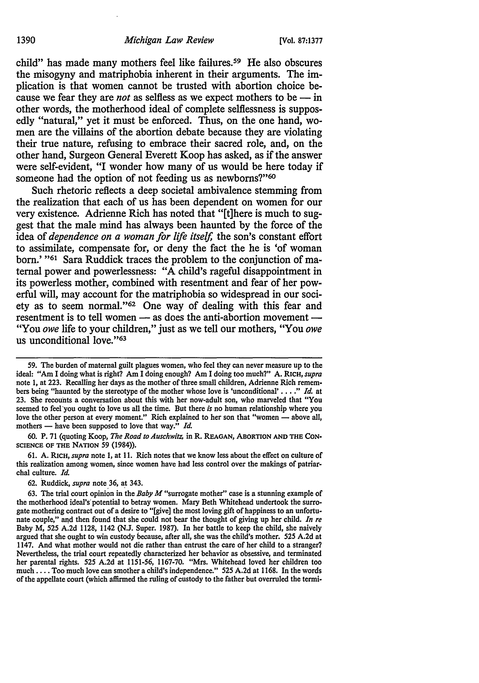child" has made many mothers feel like failures.<sup>59</sup> He also obscures the misogyny and matriphobia inherent in their arguments. The implication is that women cannot be trusted with abortion choice because we fear they are *not* as selfless as we expect mothers to be  $-$  in other words, the motherhood ideal of complete selflessness is supposedly "natural," yet it must be enforced. Thus, on the one hand, women are the villains of the abortion debate because they are violating their true nature, refusing to embrace their sacred role, and, on the other hand, Surgeon General Everett Koop has asked, as if the answer were self-evident, "I wonder how many of us would be here today if someone had the option of not feeding us as newborns?"<sup>60</sup>

Such rhetoric reflects a deep societal ambivalence stemming from the realization that each of us has been dependent on women for our very existence. Adrienne Rich has noted that "[t]here is much to suggest that the male mind has always been haunted by the force of the idea of *dependence on a woman for life itself,* the son's constant effort to assimilate, compensate for, or deny the fact the he is 'of woman born.' "<sup>61</sup> Sara Ruddick traces the problem to the conjunction of maternal power and powerlessness: "A child's rageful disappointment in its powerless mother, combined with resentment and fear of her powerful will, may account for the matriphobia so widespread in our society as to seem normal."62 One way of dealing with this fear and resentment is to tell women - as does the anti-abortion movement -"You *owe* life to your children," just as we tell our mothers, "You *owe*  us unconditional love."<sup>63</sup>

62. Ruddick, *supra* note 36, at 343.

<sup>59.</sup> The burden of maternal guilt plagues women, who feel they can never measure up to the ideal: "Am I doing what is right? Am I doing enough? Am I doing too much?" A. RICH, *supra*  note 1, at 223. Recalling her days as the mother of three small children, Adrienne Rich remem· bers being "haunted by the stereotype of the mother whose love is 'unconditional' •.•. " *Id.* at 23. She recounts a conversation about this with her now-adult son, who marveled that "You seemed to feel you ought to love us all the time. But there *is* no human relationship where you love the other person at every moment." Rich explained to her son that "women - above all, mothers - have been supposed to love that way." *Id.* 

<sup>60.</sup> P. 71 (quoting Koop, *The Road to Auschwitz,* in R. REAGAN, ABORTION AND THE CON· SCIENCE OF THE NATION 59 (1984)).

<sup>61.</sup> A. RICH, *supra* note 1, at 11. Rich notes that we know less about the effect on culture of this realization among women, since women have had less control over the makings of patriarchal culture. *Id.* 

<sup>63.</sup> The trial court opinion in the *Baby M* "surrogate mother" case is a stunning example of the motherhood ideal's potential to betray women. Mary Beth Whitehead undertook the surrogate mothering contract out of a desire to "[give] the most loving gift of happiness to an unfortu· nate couple," and then found that she could not bear the thought of giving up her child. *In re* Baby M, 525 A.2d 1128, 1142 (N.J. Super. 1987). In her battle to keep the child, she naively argued that she ought to win custody because, after all, she was the child's mother. 525 A.2d at 1147. And what mother would not die rather than entrust the care of her child to a stranger? Nevertheless, the trial court repeatedly characterized her behavior as obsessive, and terminated her parental rights. 525 A.2d at 1151-56, 1167-70. "Mrs. Whitehead loved her children too much ...• Too much Jove can smother a child's independence." 525 A.2d at 1168. In the words of the appellate court {which affirmed the ruling of custody to the father but overruled the termi·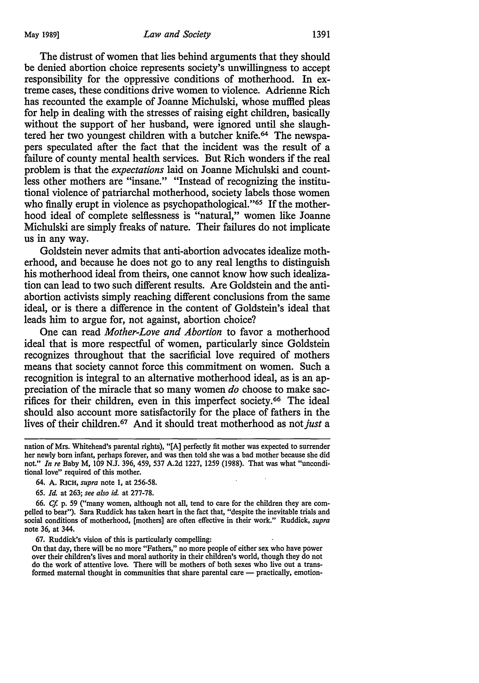The distrust of women that lies behind arguments that they should be denied abortion choice represents society's unwillingness to accept responsibility for the oppressive conditions of motherhood. In extreme cases, these conditions drive women to violence. Adrienne Rich has recounted the example of Joanne Michulski, whose muffied pleas for help in dealing with the stresses of raising eight children, basically without the support of her husband, were ignored until she slaughtered her two youngest children with a butcher knife. 64 The newspapers speculated after the fact that the incident was the result of a failure of county mental health services. But Rich wonders if the real problem is that the *expectations* laid on Joanne Michulski and countless other mothers are "insane." "Instead of recognizing the institutional violence of patriarchal motherhood, society labels those women who finally erupt in violence as psychopathological."<sup>65</sup> If the motherhood ideal of complete selflessness is "natural," women like Joanne Michulski are simply freaks of nature. Their failures do not implicate us in any way.

Goldstein never admits that anti-abortion advocates idealize motherhood, and because he does not go to any real lengths to distinguish his motherhood ideal from theirs, one cannot know how such idealization can lead to two such different results. Are Goldstein and the antiabortion activists simply reaching different conclusions from the same ideal, or is there a difference in the content of Goldstein's ideal that leads him to argue for, not against, abortion choice?

One can read *Mother-Love and Abortion* to favor a motherhood ideal that is more respectful of women, particularly since Goldstein recognizes throughout that the sacrificial love required of mothers means that society cannot force this commitment on women. Such a recognition is integral to an alternative motherhood ideal, as is an appreciation of the miracle that so many women *do* choose to make sacrifices for their children, even in this imperfect society. 66 The ideal should also account more satisfactorily for the place of fathers in the lives of their children. 67 And it should treat motherhood as not *just* a

66. *Cf* p. 59 ("many women, although not all, tend to care for the children they are compelled to bear"). Sara Ruddick has taken heart in the fact that, "despite the inevitable trials and social conditions of motherhood, [mothers] are often effective in their work." Ruddick, *supra*  note 36, at 344.

On that day, there will be no more "Fathers," no more people of either sex who have power over their children's lives and moral authority in their children's world, though they do not do the work of attentive love. There will be mothers of both sexes who live out a transformed maternal thought in communities that share parental care  $-$  practically, emotion-

nation of Mrs. Whitehead's parental rights), "[A] perfectly fit mother was expected to surrender her newly born infant, perhaps forever, and was then told she was a bad mother because she did not." *In re* Baby M, 109 N.J. 396, 459, 537 A.2d 1227, 1259 (1988). That was what "unconditional love" required of this mother.

<sup>64.</sup> A. RICH, *supra* note 1, at 256-58.

<sup>65.</sup> *Id.* at 263; *see also id.* at 277-78.

<sup>67.</sup> Ruddick's vision of this is particularly compelling: